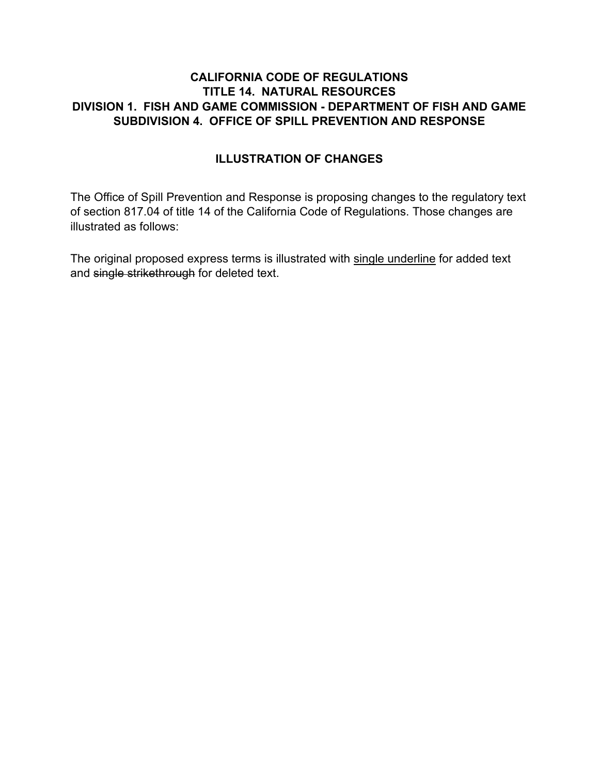## **CALIFORNIA CODE OF REGULATIONS TITLE 14. NATURAL RESOURCES DIVISION 1. FISH AND GAME COMMISSION - DEPARTMENT OF FISH AND GAME SUBDIVISION 4. OFFICE OF SPILL PREVENTION AND RESPONSE**

## **ILLUSTRATION OF CHANGES**

The Office of Spill Prevention and Response is proposing changes to the regulatory text of section 817.04 of title 14 of the California Code of Regulations. Those changes are illustrated as follows:

The original proposed express terms is illustrated with single underline for added text and single strikethrough for deleted text.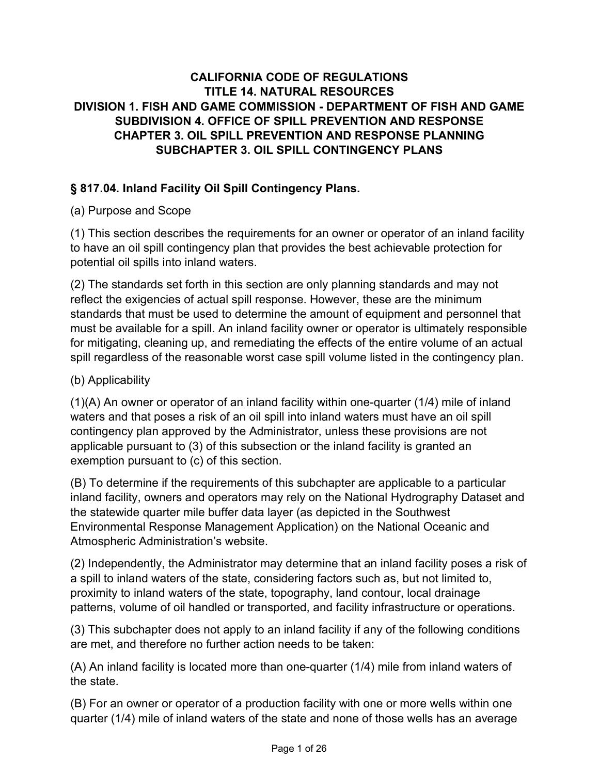## **CALIFORNIA CODE OF REGULATIONS TITLE 14. NATURAL RESOURCES DIVISION 1. FISH AND GAME COMMISSION - DEPARTMENT OF FISH AND GAME SUBDIVISION 4. OFFICE OF SPILL PREVENTION AND RESPONSE CHAPTER 3. OIL SPILL PREVENTION AND RESPONSE PLANNING SUBCHAPTER 3. OIL SPILL CONTINGENCY PLANS**

# **§ 817.04. Inland Facility Oil Spill Contingency Plans.**

## (a) Purpose and Scope

(1) This section describes the requirements for an owner or operator of an inland facility to have an oil spill contingency plan that provides the best achievable protection for potential oil spills into inland waters.

(2) The standards set forth in this section are only planning standards and may not reflect the exigencies of actual spill response. However, these are the minimum standards that must be used to determine the amount of equipment and personnel that must be available for a spill. An inland facility owner or operator is ultimately responsible for mitigating, cleaning up, and remediating the effects of the entire volume of an actual spill regardless of the reasonable worst case spill volume listed in the contingency plan.

## (b) Applicability

(1)(A) An owner or operator of an inland facility within one-quarter (1/4) mile of inland waters and that poses a risk of an oil spill into inland waters must have an oil spill contingency plan approved by the Administrator, unless these provisions are not applicable pursuant to (3) of this subsection or the inland facility is granted an exemption pursuant to (c) of this section.

(B) To determine if the requirements of this subchapter are applicable to a particular inland facility, owners and operators may rely on the National Hydrography Dataset and the statewide quarter mile buffer data layer (as depicted in the Southwest Environmental Response Management Application) on the National Oceanic and Atmospheric Administration's website.

(2) Independently, the Administrator may determine that an inland facility poses a risk of a spill to inland waters of the state, considering factors such as, but not limited to, proximity to inland waters of the state, topography, land contour, local drainage patterns, volume of oil handled or transported, and facility infrastructure or operations.

(3) This subchapter does not apply to an inland facility if any of the following conditions are met, and therefore no further action needs to be taken:

(A) An inland facility is located more than one-quarter (1/4) mile from inland waters of the state.

(B) For an owner or operator of a production facility with one or more wells within one quarter (1/4) mile of inland waters of the state and none of those wells has an average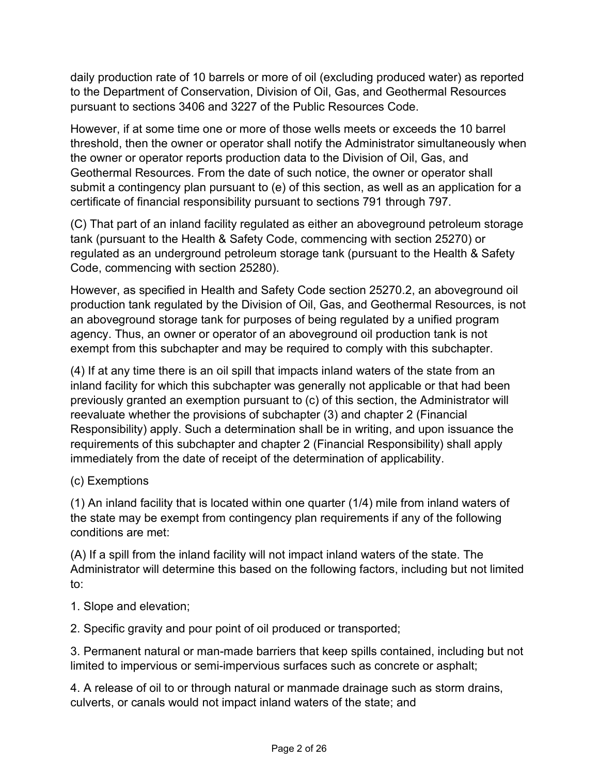daily production rate of 10 barrels or more of oil (excluding produced water) as reported to the Department of Conservation, Division of Oil, Gas, and Geothermal Resources pursuant to sections 3406 and 3227 of the Public Resources Code.

However, if at some time one or more of those wells meets or exceeds the 10 barrel threshold, then the owner or operator shall notify the Administrator simultaneously when the owner or operator reports production data to the Division of Oil, Gas, and Geothermal Resources. From the date of such notice, the owner or operator shall submit a contingency plan pursuant to (e) of this section, as well as an application for a certificate of financial responsibility pursuant to sections 791 through 797.

(C) That part of an inland facility regulated as either an aboveground petroleum storage tank (pursuant to the Health & Safety Code, commencing with section 25270) or regulated as an underground petroleum storage tank (pursuant to the Health & Safety Code, commencing with section 25280).

However, as specified in Health and Safety Code section 25270.2, an aboveground oil production tank regulated by the Division of Oil, Gas, and Geothermal Resources, is not an aboveground storage tank for purposes of being regulated by a unified program agency. Thus, an owner or operator of an aboveground oil production tank is not exempt from this subchapter and may be required to comply with this subchapter.

(4) If at any time there is an oil spill that impacts inland waters of the state from an inland facility for which this subchapter was generally not applicable or that had been previously granted an exemption pursuant to (c) of this section, the Administrator will reevaluate whether the provisions of subchapter (3) and chapter 2 (Financial Responsibility) apply. Such a determination shall be in writing, and upon issuance the requirements of this subchapter and chapter 2 (Financial Responsibility) shall apply immediately from the date of receipt of the determination of applicability.

## (c) Exemptions

(1) An inland facility that is located within one quarter (1/4) mile from inland waters of the state may be exempt from contingency plan requirements if any of the following conditions are met:

(A) If a spill from the inland facility will not impact inland waters of the state. The Administrator will determine this based on the following factors, including but not limited to:

1. Slope and elevation;

2. Specific gravity and pour point of oil produced or transported;

3. Permanent natural or man-made barriers that keep spills contained, including but not limited to impervious or semi-impervious surfaces such as concrete or asphalt;

4. A release of oil to or through natural or manmade drainage such as storm drains, culverts, or canals would not impact inland waters of the state; and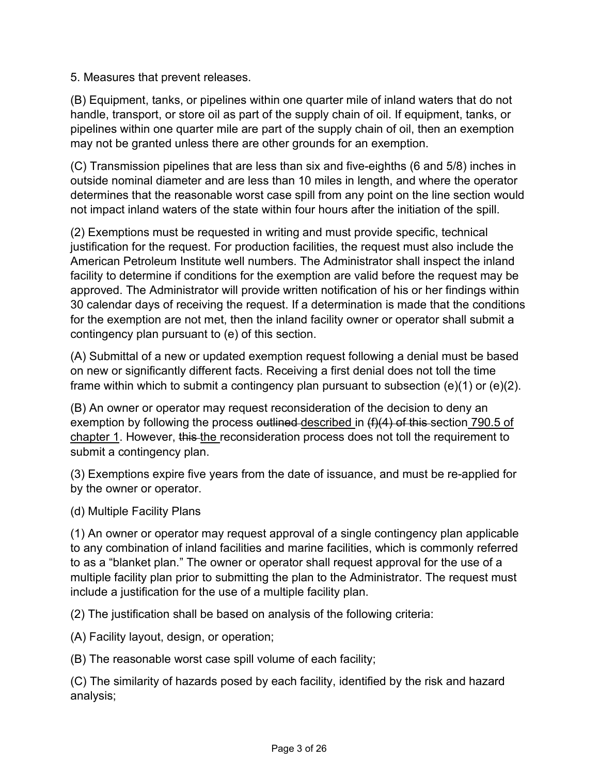5. Measures that prevent releases.

(B) Equipment, tanks, or pipelines within one quarter mile of inland waters that do not handle, transport, or store oil as part of the supply chain of oil. If equipment, tanks, or pipelines within one quarter mile are part of the supply chain of oil, then an exemption may not be granted unless there are other grounds for an exemption.

(C) Transmission pipelines that are less than six and five-eighths (6 and 5/8) inches in outside nominal diameter and are less than 10 miles in length, and where the operator determines that the reasonable worst case spill from any point on the line section would not impact inland waters of the state within four hours after the initiation of the spill.

(2) Exemptions must be requested in writing and must provide specific, technical justification for the request. For production facilities, the request must also include the American Petroleum Institute well numbers. The Administrator shall inspect the inland facility to determine if conditions for the exemption are valid before the request may be approved. The Administrator will provide written notification of his or her findings within 30 calendar days of receiving the request. If a determination is made that the conditions for the exemption are not met, then the inland facility owner or operator shall submit a contingency plan pursuant to (e) of this section.

(A) Submittal of a new or updated exemption request following a denial must be based on new or significantly different facts. Receiving a first denial does not toll the time frame within which to submit a contingency plan pursuant to subsection (e)(1) or (e)(2).

(B) An owner or operator may request reconsideration of the decision to deny an exemption by following the process outlined described in (f)(4) of this section 790.5 of chapter 1. However, this the reconsideration process does not toll the requirement to submit a contingency plan.

(3) Exemptions expire five years from the date of issuance, and must be re-applied for by the owner or operator.

(d) Multiple Facility Plans

(1) An owner or operator may request approval of a single contingency plan applicable to any combination of inland facilities and marine facilities, which is commonly referred to as a "blanket plan." The owner or operator shall request approval for the use of a multiple facility plan prior to submitting the plan to the Administrator. The request must include a justification for the use of a multiple facility plan.

(2) The justification shall be based on analysis of the following criteria:

(A) Facility layout, design, or operation;

(B) The reasonable worst case spill volume of each facility;

(C) The similarity of hazards posed by each facility, identified by the risk and hazard analysis;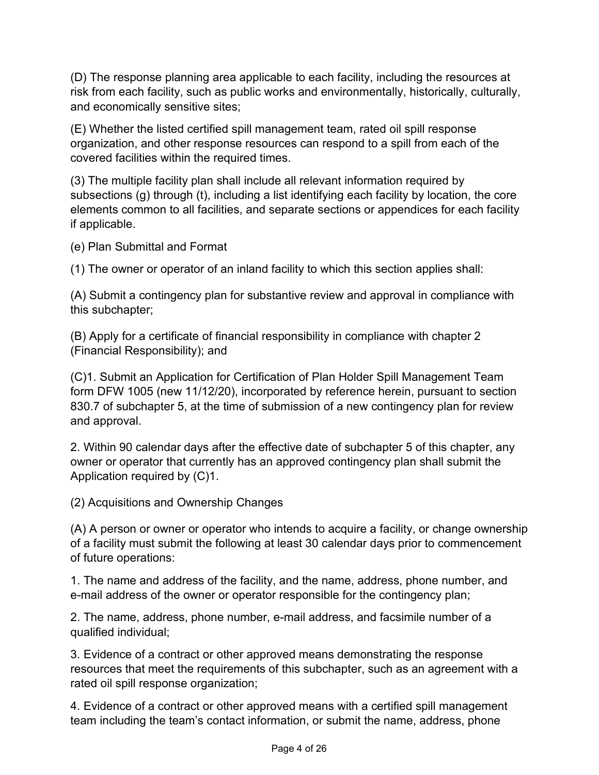(D) The response planning area applicable to each facility, including the resources at risk from each facility, such as public works and environmentally, historically, culturally, and economically sensitive sites;

(E) Whether the listed certified spill management team, rated oil spill response organization, and other response resources can respond to a spill from each of the covered facilities within the required times.

(3) The multiple facility plan shall include all relevant information required by subsections (g) through (t), including a list identifying each facility by location, the core elements common to all facilities, and separate sections or appendices for each facility if applicable.

(e) Plan Submittal and Format

(1) The owner or operator of an inland facility to which this section applies shall:

(A) Submit a contingency plan for substantive review and approval in compliance with this subchapter;

(B) Apply for a certificate of financial responsibility in compliance with chapter 2 (Financial Responsibility); and

(C)1. Submit an Application for Certification of Plan Holder Spill Management Team form DFW 1005 (new 11/12/20), incorporated by reference herein, pursuant to section 830.7 of subchapter 5, at the time of submission of a new contingency plan for review and approval.

2. Within 90 calendar days after the effective date of subchapter 5 of this chapter, any owner or operator that currently has an approved contingency plan shall submit the Application required by (C)1.

(2) Acquisitions and Ownership Changes

(A) A person or owner or operator who intends to acquire a facility, or change ownership of a facility must submit the following at least 30 calendar days prior to commencement of future operations:

1. The name and address of the facility, and the name, address, phone number, and e-mail address of the owner or operator responsible for the contingency plan;

2. The name, address, phone number, e-mail address, and facsimile number of a qualified individual;

3. Evidence of a contract or other approved means demonstrating the response resources that meet the requirements of this subchapter, such as an agreement with a rated oil spill response organization;

4. Evidence of a contract or other approved means with a certified spill management team including the team's contact information, or submit the name, address, phone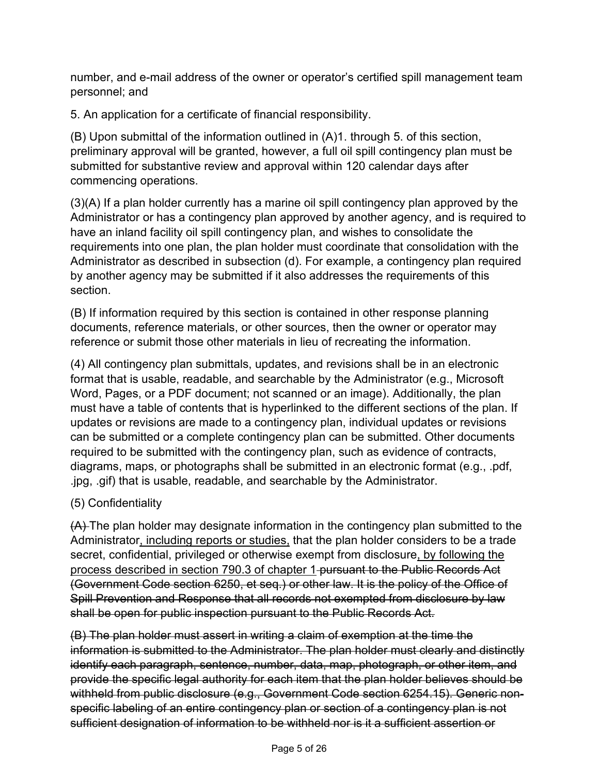number, and e-mail address of the owner or operator's certified spill management team personnel; and

5. An application for a certificate of financial responsibility.

(B) Upon submittal of the information outlined in (A)1. through 5. of this section, preliminary approval will be granted, however, a full oil spill contingency plan must be submitted for substantive review and approval within 120 calendar days after commencing operations.

(3)(A) If a plan holder currently has a marine oil spill contingency plan approved by the Administrator or has a contingency plan approved by another agency, and is required to have an inland facility oil spill contingency plan, and wishes to consolidate the requirements into one plan, the plan holder must coordinate that consolidation with the Administrator as described in subsection (d). For example, a contingency plan required by another agency may be submitted if it also addresses the requirements of this section.

(B) If information required by this section is contained in other response planning documents, reference materials, or other sources, then the owner or operator may reference or submit those other materials in lieu of recreating the information.

(4) All contingency plan submittals, updates, and revisions shall be in an electronic format that is usable, readable, and searchable by the Administrator (e.g., Microsoft Word, Pages, or a PDF document; not scanned or an image). Additionally, the plan must have a table of contents that is hyperlinked to the different sections of the plan. If updates or revisions are made to a contingency plan, individual updates or revisions can be submitted or a complete contingency plan can be submitted. Other documents required to be submitted with the contingency plan, such as evidence of contracts, diagrams, maps, or photographs shall be submitted in an electronic format (e.g., .pdf, .jpg, .gif) that is usable, readable, and searchable by the Administrator.

# (5) Confidentiality

(A) The plan holder may designate information in the contingency plan submitted to the Administrator, including reports or studies, that the plan holder considers to be a trade secret, confidential, privileged or otherwise exempt from disclosure, by following the process described in section 790.3 of chapter 1 pursuant to the Public Records Act (Government Code section 6250, et seq.) or other law. It is the policy of the Office of Spill Prevention and Response that all records not exempted from disclosure by law shall be open for public inspection pursuant to the Public Records Act.

(B) The plan holder must assert in writing a claim of exemption at the time the information is submitted to the Administrator. The plan holder must clearly and distinctly identify each paragraph, sentence, number, data, map, photograph, or other item, and provide the specific legal authority for each item that the plan holder believes should be withheld from public disclosure (e.g., Government Code section 6254.15). Generic nonspecific labeling of an entire contingency plan or section of a contingency plan is not sufficient designation of information to be withheld nor is it a sufficient assertion or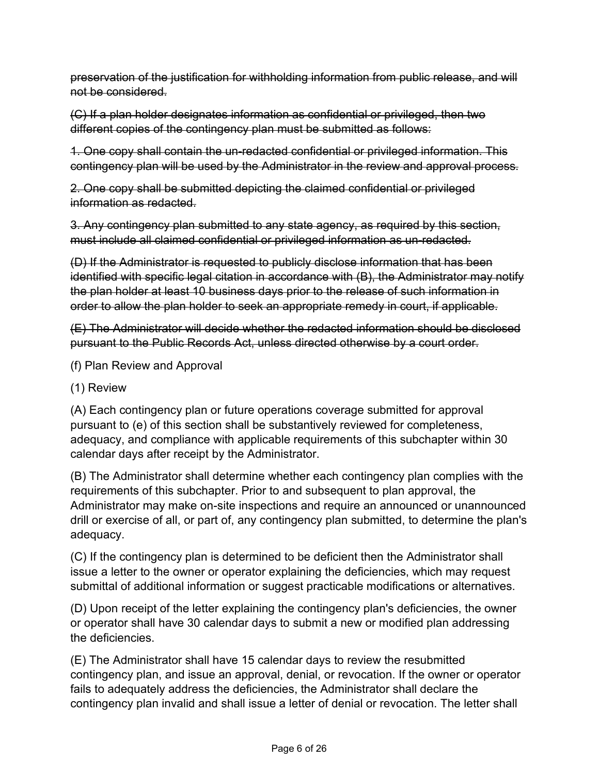preservation of the justification for withholding information from public release, and will not be considered.

(C) If a plan holder designates information as confidential or privileged, then two different copies of the contingency plan must be submitted as follows:

1. One copy shall contain the un-redacted confidential or privileged information. This contingency plan will be used by the Administrator in the review and approval process.

2. One copy shall be submitted depicting the claimed confidential or privileged information as redacted.

3. Any contingency plan submitted to any state agency, as required by this section, must include all claimed confidential or privileged information as un-redacted.

(D) If the Administrator is requested to publicly disclose information that has been identified with specific legal citation in accordance with (B), the Administrator may notify the plan holder at least 10 business days prior to the release of such information in order to allow the plan holder to seek an appropriate remedy in court, if applicable.

(E) The Administrator will decide whether the redacted information should be disclosed pursuant to the Public Records Act, unless directed otherwise by a court order.

- (f) Plan Review and Approval
- (1) Review

(A) Each contingency plan or future operations coverage submitted for approval pursuant to (e) of this section shall be substantively reviewed for completeness, adequacy, and compliance with applicable requirements of this subchapter within 30 calendar days after receipt by the Administrator.

(B) The Administrator shall determine whether each contingency plan complies with the requirements of this subchapter. Prior to and subsequent to plan approval, the Administrator may make on-site inspections and require an announced or unannounced drill or exercise of all, or part of, any contingency plan submitted, to determine the plan's adequacy.

(C) If the contingency plan is determined to be deficient then the Administrator shall issue a letter to the owner or operator explaining the deficiencies, which may request submittal of additional information or suggest practicable modifications or alternatives.

(D) Upon receipt of the letter explaining the contingency plan's deficiencies, the owner or operator shall have 30 calendar days to submit a new or modified plan addressing the deficiencies.

(E) The Administrator shall have 15 calendar days to review the resubmitted contingency plan, and issue an approval, denial, or revocation. If the owner or operator fails to adequately address the deficiencies, the Administrator shall declare the contingency plan invalid and shall issue a letter of denial or revocation. The letter shall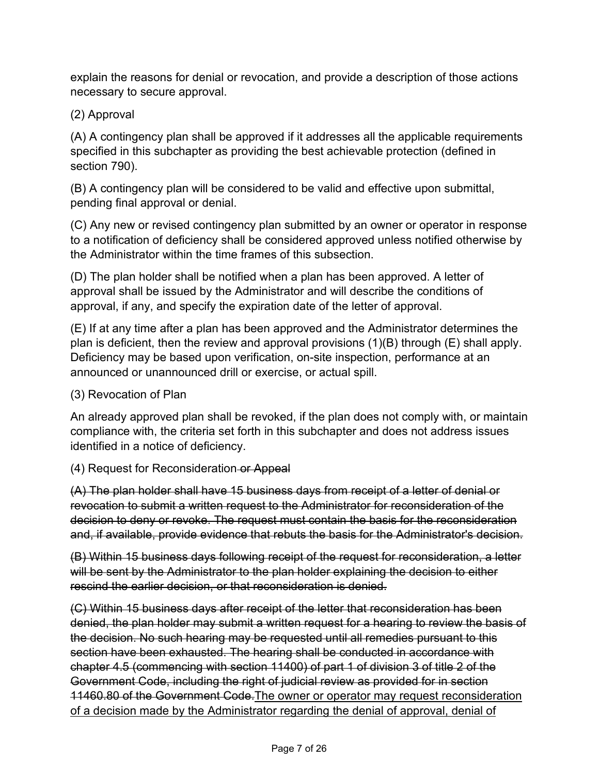explain the reasons for denial or revocation, and provide a description of those actions necessary to secure approval.

## (2) Approval

(A) A contingency plan shall be approved if it addresses all the applicable requirements specified in this subchapter as providing the best achievable protection (defined in section 790).

(B) A contingency plan will be considered to be valid and effective upon submittal, pending final approval or denial.

(C) Any new or revised contingency plan submitted by an owner or operator in response to a notification of deficiency shall be considered approved unless notified otherwise by the Administrator within the time frames of this subsection.

(D) The plan holder shall be notified when a plan has been approved. A letter of approval shall be issued by the Administrator and will describe the conditions of approval, if any, and specify the expiration date of the letter of approval.

(E) If at any time after a plan has been approved and the Administrator determines the plan is deficient, then the review and approval provisions (1)(B) through (E) shall apply. Deficiency may be based upon verification, on-site inspection, performance at an announced or unannounced drill or exercise, or actual spill.

## (3) Revocation of Plan

An already approved plan shall be revoked, if the plan does not comply with, or maintain compliance with, the criteria set forth in this subchapter and does not address issues identified in a notice of deficiency.

## (4) Request for Reconsideration or Appeal

(A) The plan holder shall have 15 business days from receipt of a letter of denial or revocation to submit a written request to the Administrator for reconsideration of the decision to deny or revoke. The request must contain the basis for the reconsideration and, if available, provide evidence that rebuts the basis for the Administrator's decision.

(B) Within 15 business days following receipt of the request for reconsideration, a letter will be sent by the Administrator to the plan holder explaining the decision to either rescind the earlier decision, or that reconsideration is denied.

(C) Within 15 business days after receipt of the letter that reconsideration has been denied, the plan holder may submit a written request for a hearing to review the basis of the decision. No such hearing may be requested until all remedies pursuant to this section have been exhausted. The hearing shall be conducted in accordance with chapter 4.5 (commencing with section 11400) of part 1 of division 3 of title 2 of the Government Code, including the right of judicial review as provided for in section 11460.80 of the Government Code.The owner or operator may request reconsideration of a decision made by the Administrator regarding the denial of approval, denial of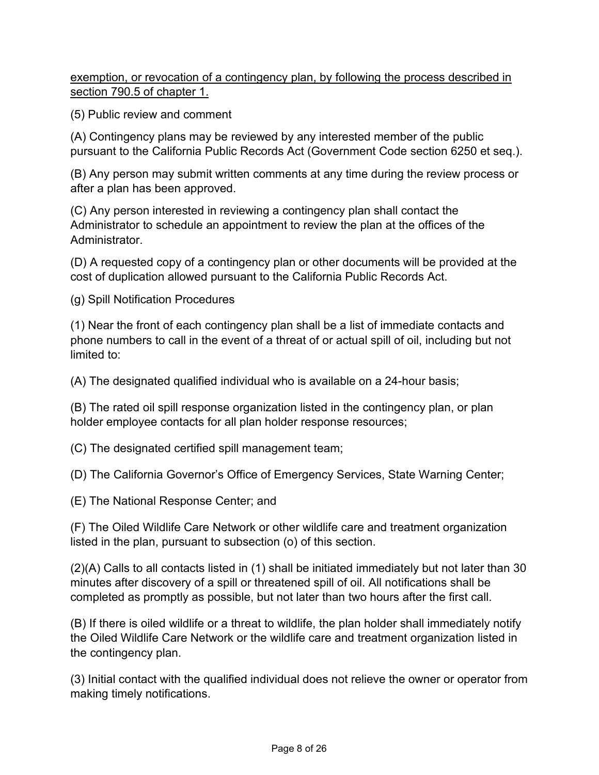exemption, or revocation of a contingency plan, by following the process described in section 790.5 of chapter 1.

(5) Public review and comment

(A) Contingency plans may be reviewed by any interested member of the public pursuant to the California Public Records Act (Government Code section 6250 et seq.).

(B) Any person may submit written comments at any time during the review process or after a plan has been approved.

(C) Any person interested in reviewing a contingency plan shall contact the Administrator to schedule an appointment to review the plan at the offices of the **Administrator** 

(D) A requested copy of a contingency plan or other documents will be provided at the cost of duplication allowed pursuant to the California Public Records Act.

(g) Spill Notification Procedures

(1) Near the front of each contingency plan shall be a list of immediate contacts and phone numbers to call in the event of a threat of or actual spill of oil, including but not limited to:

(A) The designated qualified individual who is available on a 24-hour basis;

(B) The rated oil spill response organization listed in the contingency plan, or plan holder employee contacts for all plan holder response resources;

(C) The designated certified spill management team;

(D) The California Governor's Office of Emergency Services, State Warning Center;

(E) The National Response Center; and

(F) The Oiled Wildlife Care Network or other wildlife care and treatment organization listed in the plan, pursuant to subsection (o) of this section.

(2)(A) Calls to all contacts listed in (1) shall be initiated immediately but not later than 30 minutes after discovery of a spill or threatened spill of oil. All notifications shall be completed as promptly as possible, but not later than two hours after the first call.

(B) If there is oiled wildlife or a threat to wildlife, the plan holder shall immediately notify the Oiled Wildlife Care Network or the wildlife care and treatment organization listed in the contingency plan.

(3) Initial contact with the qualified individual does not relieve the owner or operator from making timely notifications.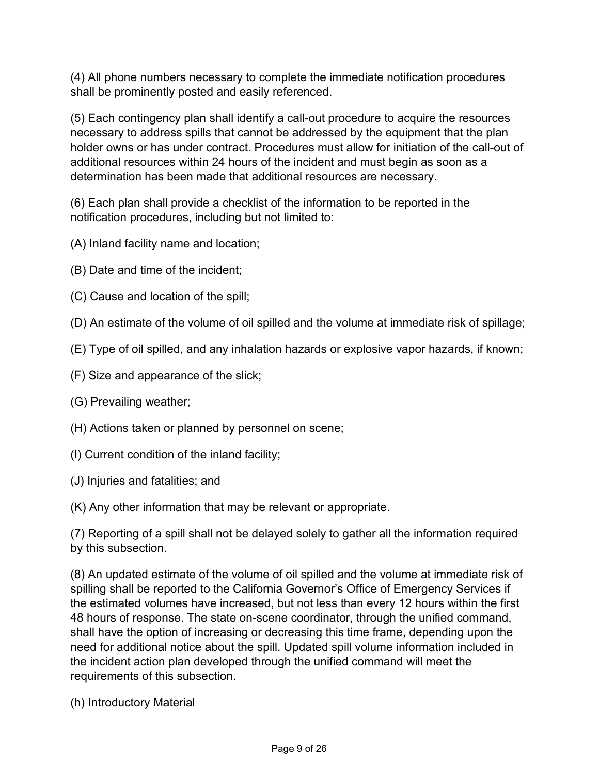(4) All phone numbers necessary to complete the immediate notification procedures shall be prominently posted and easily referenced.

(5) Each contingency plan shall identify a call-out procedure to acquire the resources necessary to address spills that cannot be addressed by the equipment that the plan holder owns or has under contract. Procedures must allow for initiation of the call-out of additional resources within 24 hours of the incident and must begin as soon as a determination has been made that additional resources are necessary.

(6) Each plan shall provide a checklist of the information to be reported in the notification procedures, including but not limited to:

- (A) Inland facility name and location;
- (B) Date and time of the incident;
- (C) Cause and location of the spill;
- (D) An estimate of the volume of oil spilled and the volume at immediate risk of spillage;
- (E) Type of oil spilled, and any inhalation hazards or explosive vapor hazards, if known;
- (F) Size and appearance of the slick;
- (G) Prevailing weather;
- (H) Actions taken or planned by personnel on scene;
- (I) Current condition of the inland facility;
- (J) Injuries and fatalities; and

(K) Any other information that may be relevant or appropriate.

(7) Reporting of a spill shall not be delayed solely to gather all the information required by this subsection.

(8) An updated estimate of the volume of oil spilled and the volume at immediate risk of spilling shall be reported to the California Governor's Office of Emergency Services if the estimated volumes have increased, but not less than every 12 hours within the first 48 hours of response. The state on-scene coordinator, through the unified command, shall have the option of increasing or decreasing this time frame, depending upon the need for additional notice about the spill. Updated spill volume information included in the incident action plan developed through the unified command will meet the requirements of this subsection.

(h) Introductory Material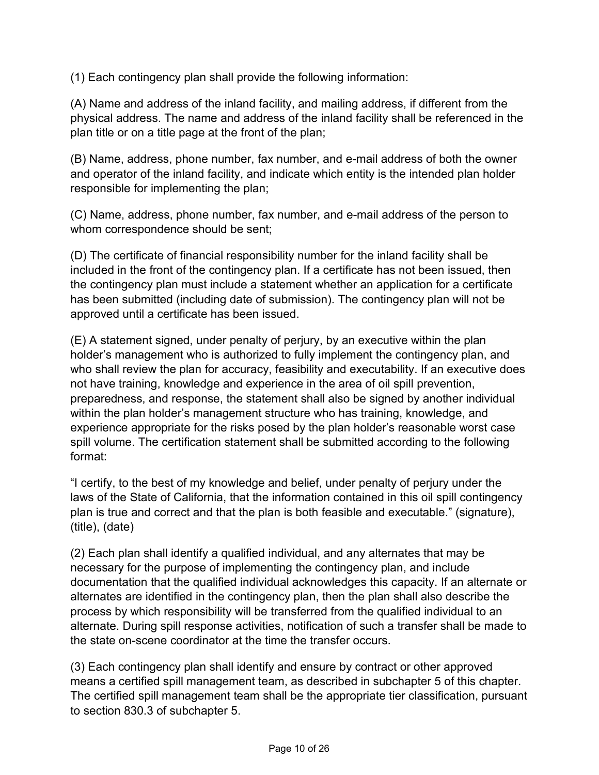(1) Each contingency plan shall provide the following information:

(A) Name and address of the inland facility, and mailing address, if different from the physical address. The name and address of the inland facility shall be referenced in the plan title or on a title page at the front of the plan;

(B) Name, address, phone number, fax number, and e-mail address of both the owner and operator of the inland facility, and indicate which entity is the intended plan holder responsible for implementing the plan;

(C) Name, address, phone number, fax number, and e-mail address of the person to whom correspondence should be sent;

(D) The certificate of financial responsibility number for the inland facility shall be included in the front of the contingency plan. If a certificate has not been issued, then the contingency plan must include a statement whether an application for a certificate has been submitted (including date of submission). The contingency plan will not be approved until a certificate has been issued.

(E) A statement signed, under penalty of perjury, by an executive within the plan holder's management who is authorized to fully implement the contingency plan, and who shall review the plan for accuracy, feasibility and executability. If an executive does not have training, knowledge and experience in the area of oil spill prevention, preparedness, and response, the statement shall also be signed by another individual within the plan holder's management structure who has training, knowledge, and experience appropriate for the risks posed by the plan holder's reasonable worst case spill volume. The certification statement shall be submitted according to the following format:

"I certify, to the best of my knowledge and belief, under penalty of perjury under the laws of the State of California, that the information contained in this oil spill contingency plan is true and correct and that the plan is both feasible and executable." (signature), (title), (date)

(2) Each plan shall identify a qualified individual, and any alternates that may be necessary for the purpose of implementing the contingency plan, and include documentation that the qualified individual acknowledges this capacity. If an alternate or alternates are identified in the contingency plan, then the plan shall also describe the process by which responsibility will be transferred from the qualified individual to an alternate. During spill response activities, notification of such a transfer shall be made to the state on-scene coordinator at the time the transfer occurs.

(3) Each contingency plan shall identify and ensure by contract or other approved means a certified spill management team, as described in subchapter 5 of this chapter. The certified spill management team shall be the appropriate tier classification, pursuant to section 830.3 of subchapter 5.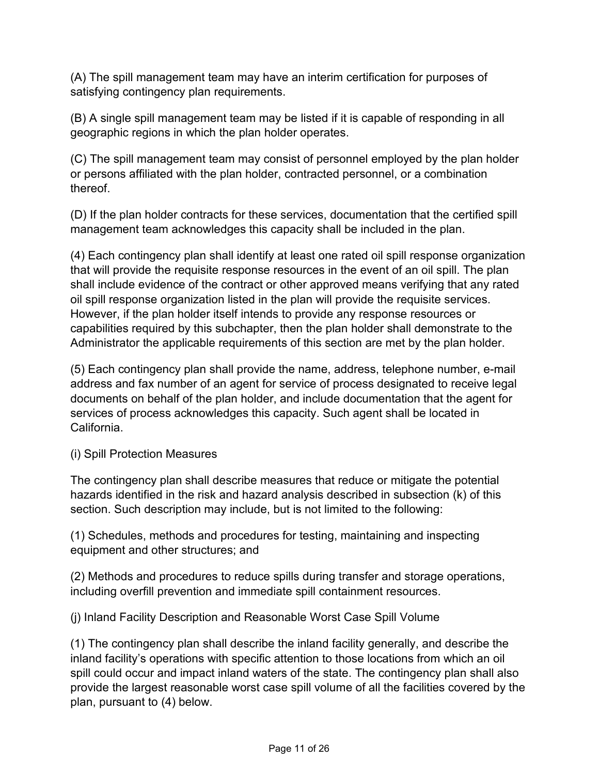(A) The spill management team may have an interim certification for purposes of satisfying contingency plan requirements.

(B) A single spill management team may be listed if it is capable of responding in all geographic regions in which the plan holder operates.

(C) The spill management team may consist of personnel employed by the plan holder or persons affiliated with the plan holder, contracted personnel, or a combination thereof.

(D) If the plan holder contracts for these services, documentation that the certified spill management team acknowledges this capacity shall be included in the plan.

(4) Each contingency plan shall identify at least one rated oil spill response organization that will provide the requisite response resources in the event of an oil spill. The plan shall include evidence of the contract or other approved means verifying that any rated oil spill response organization listed in the plan will provide the requisite services. However, if the plan holder itself intends to provide any response resources or capabilities required by this subchapter, then the plan holder shall demonstrate to the Administrator the applicable requirements of this section are met by the plan holder.

(5) Each contingency plan shall provide the name, address, telephone number, e-mail address and fax number of an agent for service of process designated to receive legal documents on behalf of the plan holder, and include documentation that the agent for services of process acknowledges this capacity. Such agent shall be located in California.

(i) Spill Protection Measures

The contingency plan shall describe measures that reduce or mitigate the potential hazards identified in the risk and hazard analysis described in subsection (k) of this section. Such description may include, but is not limited to the following:

(1) Schedules, methods and procedures for testing, maintaining and inspecting equipment and other structures; and

(2) Methods and procedures to reduce spills during transfer and storage operations, including overfill prevention and immediate spill containment resources.

(j) Inland Facility Description and Reasonable Worst Case Spill Volume

(1) The contingency plan shall describe the inland facility generally, and describe the inland facility's operations with specific attention to those locations from which an oil spill could occur and impact inland waters of the state. The contingency plan shall also provide the largest reasonable worst case spill volume of all the facilities covered by the plan, pursuant to (4) below.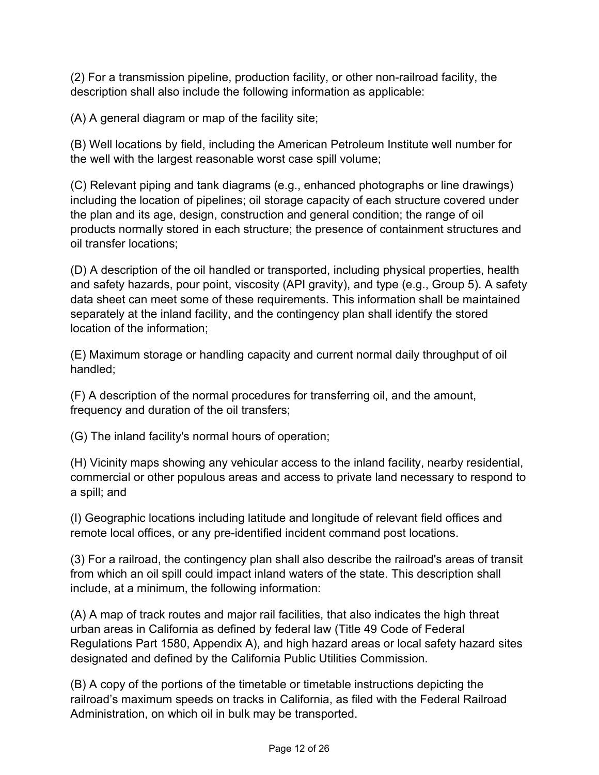(2) For a transmission pipeline, production facility, or other non-railroad facility, the description shall also include the following information as applicable:

(A) A general diagram or map of the facility site;

(B) Well locations by field, including the American Petroleum Institute well number for the well with the largest reasonable worst case spill volume;

(C) Relevant piping and tank diagrams (e.g., enhanced photographs or line drawings) including the location of pipelines; oil storage capacity of each structure covered under the plan and its age, design, construction and general condition; the range of oil products normally stored in each structure; the presence of containment structures and oil transfer locations;

(D) A description of the oil handled or transported, including physical properties, health and safety hazards, pour point, viscosity (API gravity), and type (e.g., Group 5). A safety data sheet can meet some of these requirements. This information shall be maintained separately at the inland facility, and the contingency plan shall identify the stored location of the information;

(E) Maximum storage or handling capacity and current normal daily throughput of oil handled;

(F) A description of the normal procedures for transferring oil, and the amount, frequency and duration of the oil transfers;

(G) The inland facility's normal hours of operation;

(H) Vicinity maps showing any vehicular access to the inland facility, nearby residential, commercial or other populous areas and access to private land necessary to respond to a spill; and

(I) Geographic locations including latitude and longitude of relevant field offices and remote local offices, or any pre-identified incident command post locations.

(3) For a railroad, the contingency plan shall also describe the railroad's areas of transit from which an oil spill could impact inland waters of the state. This description shall include, at a minimum, the following information:

(A) A map of track routes and major rail facilities, that also indicates the high threat urban areas in California as defined by federal law (Title 49 Code of Federal Regulations Part 1580, Appendix A), and high hazard areas or local safety hazard sites designated and defined by the California Public Utilities Commission.

(B) A copy of the portions of the timetable or timetable instructions depicting the railroad's maximum speeds on tracks in California, as filed with the Federal Railroad Administration, on which oil in bulk may be transported.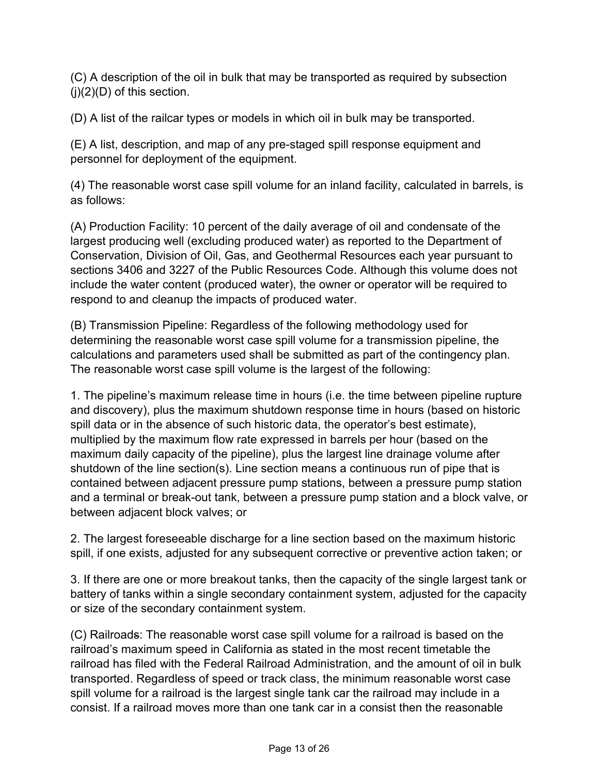(C) A description of the oil in bulk that may be transported as required by subsection  $(i)(2)(D)$  of this section.

(D) A list of the railcar types or models in which oil in bulk may be transported.

(E) A list, description, and map of any pre-staged spill response equipment and personnel for deployment of the equipment.

(4) The reasonable worst case spill volume for an inland facility, calculated in barrels, is as follows:

(A) Production Facility: 10 percent of the daily average of oil and condensate of the largest producing well (excluding produced water) as reported to the Department of Conservation, Division of Oil, Gas, and Geothermal Resources each year pursuant to sections 3406 and 3227 of the Public Resources Code. Although this volume does not include the water content (produced water), the owner or operator will be required to respond to and cleanup the impacts of produced water.

(B) Transmission Pipeline: Regardless of the following methodology used for determining the reasonable worst case spill volume for a transmission pipeline, the calculations and parameters used shall be submitted as part of the contingency plan. The reasonable worst case spill volume is the largest of the following:

1. The pipeline's maximum release time in hours (i.e. the time between pipeline rupture and discovery), plus the maximum shutdown response time in hours (based on historic spill data or in the absence of such historic data, the operator's best estimate), multiplied by the maximum flow rate expressed in barrels per hour (based on the maximum daily capacity of the pipeline), plus the largest line drainage volume after shutdown of the line section(s). Line section means a continuous run of pipe that is contained between adjacent pressure pump stations, between a pressure pump station and a terminal or break-out tank, between a pressure pump station and a block valve, or between adjacent block valves; or

2. The largest foreseeable discharge for a line section based on the maximum historic spill, if one exists, adjusted for any subsequent corrective or preventive action taken; or

3. If there are one or more breakout tanks, then the capacity of the single largest tank or battery of tanks within a single secondary containment system, adjusted for the capacity or size of the secondary containment system.

(C) Railroads: The reasonable worst case spill volume for a railroad is based on the railroad's maximum speed in California as stated in the most recent timetable the railroad has filed with the Federal Railroad Administration, and the amount of oil in bulk transported. Regardless of speed or track class, the minimum reasonable worst case spill volume for a railroad is the largest single tank car the railroad may include in a consist. If a railroad moves more than one tank car in a consist then the reasonable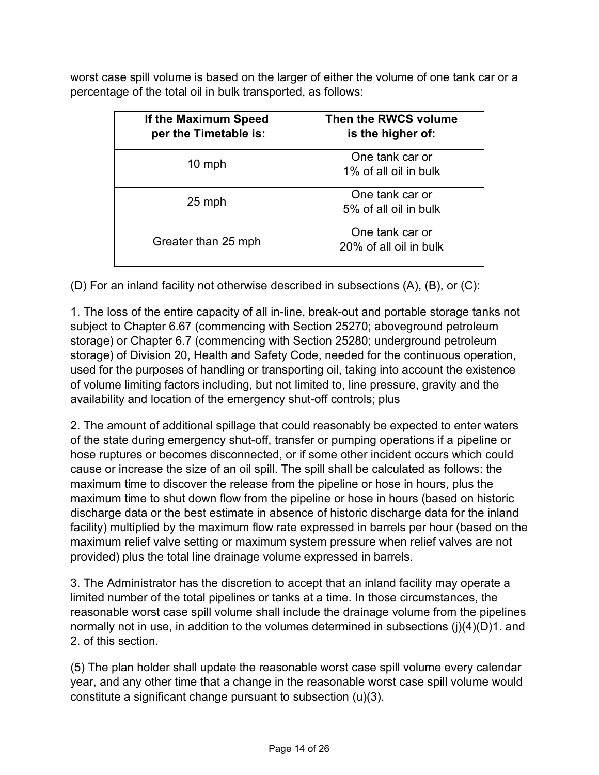worst case spill volume is based on the larger of either the volume of one tank car or a percentage of the total oil in bulk transported, as follows:

| If the Maximum Speed<br>per the Timetable is: | Then the RWCS volume<br>is the higher of: |
|-----------------------------------------------|-------------------------------------------|
| $10$ mph                                      | One tank car or<br>1% of all oil in bulk  |
| 25 mph                                        | One tank car or<br>5% of all oil in bulk  |
| Greater than 25 mph                           | One tank car or<br>20% of all oil in bulk |

(D) For an inland facility not otherwise described in subsections (A), (B), or (C):

1. The loss of the entire capacity of all in-line, break-out and portable storage tanks not subject to Chapter 6.67 (commencing with Section 25270; aboveground petroleum storage) or Chapter 6.7 (commencing with Section 25280; underground petroleum storage) of Division 20, Health and Safety Code, needed for the continuous operation, used for the purposes of handling or transporting oil, taking into account the existence of volume limiting factors including, but not limited to, line pressure, gravity and the availability and location of the emergency shut-off controls; plus

2. The amount of additional spillage that could reasonably be expected to enter waters of the state during emergency shut-off, transfer or pumping operations if a pipeline or hose ruptures or becomes disconnected, or if some other incident occurs which could cause or increase the size of an oil spill. The spill shall be calculated as follows: the maximum time to discover the release from the pipeline or hose in hours, plus the maximum time to shut down flow from the pipeline or hose in hours (based on historic discharge data or the best estimate in absence of historic discharge data for the inland facility) multiplied by the maximum flow rate expressed in barrels per hour (based on the maximum relief valve setting or maximum system pressure when relief valves are not provided) plus the total line drainage volume expressed in barrels.

3. The Administrator has the discretion to accept that an inland facility may operate a limited number of the total pipelines or tanks at a time. In those circumstances, the reasonable worst case spill volume shall include the drainage volume from the pipelines normally not in use, in addition to the volumes determined in subsections (j)(4)(D)1. and 2. of this section.

(5) The plan holder shall update the reasonable worst case spill volume every calendar year, and any other time that a change in the reasonable worst case spill volume would constitute a significant change pursuant to subsection (u)(3).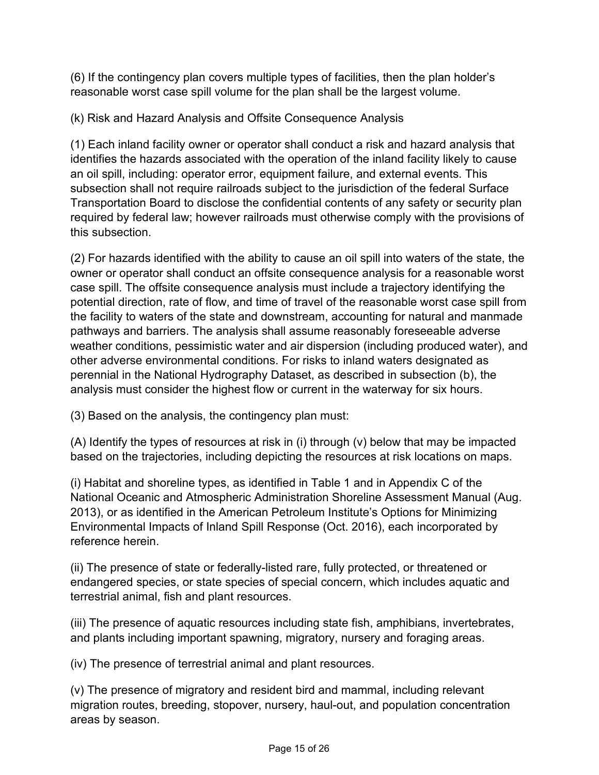(6) If the contingency plan covers multiple types of facilities, then the plan holder's reasonable worst case spill volume for the plan shall be the largest volume.

(k) Risk and Hazard Analysis and Offsite Consequence Analysis

(1) Each inland facility owner or operator shall conduct a risk and hazard analysis that identifies the hazards associated with the operation of the inland facility likely to cause an oil spill, including: operator error, equipment failure, and external events. This subsection shall not require railroads subject to the jurisdiction of the federal Surface Transportation Board to disclose the confidential contents of any safety or security plan required by federal law; however railroads must otherwise comply with the provisions of this subsection.

(2) For hazards identified with the ability to cause an oil spill into waters of the state, the owner or operator shall conduct an offsite consequence analysis for a reasonable worst case spill. The offsite consequence analysis must include a trajectory identifying the potential direction, rate of flow, and time of travel of the reasonable worst case spill from the facility to waters of the state and downstream, accounting for natural and manmade pathways and barriers. The analysis shall assume reasonably foreseeable adverse weather conditions, pessimistic water and air dispersion (including produced water), and other adverse environmental conditions. For risks to inland waters designated as perennial in the National Hydrography Dataset, as described in subsection (b), the analysis must consider the highest flow or current in the waterway for six hours.

(3) Based on the analysis, the contingency plan must:

(A) Identify the types of resources at risk in (i) through (v) below that may be impacted based on the trajectories, including depicting the resources at risk locations on maps.

(i) Habitat and shoreline types, as identified in Table 1 and in Appendix C of the National Oceanic and Atmospheric Administration Shoreline Assessment Manual (Aug. 2013), or as identified in the American Petroleum Institute's Options for Minimizing Environmental Impacts of Inland Spill Response (Oct. 2016), each incorporated by reference herein.

(ii) The presence of state or federally-listed rare, fully protected, or threatened or endangered species, or state species of special concern, which includes aquatic and terrestrial animal, fish and plant resources.

(iii) The presence of aquatic resources including state fish, amphibians, invertebrates, and plants including important spawning, migratory, nursery and foraging areas.

(iv) The presence of terrestrial animal and plant resources.

(v) The presence of migratory and resident bird and mammal, including relevant migration routes, breeding, stopover, nursery, haul-out, and population concentration areas by season.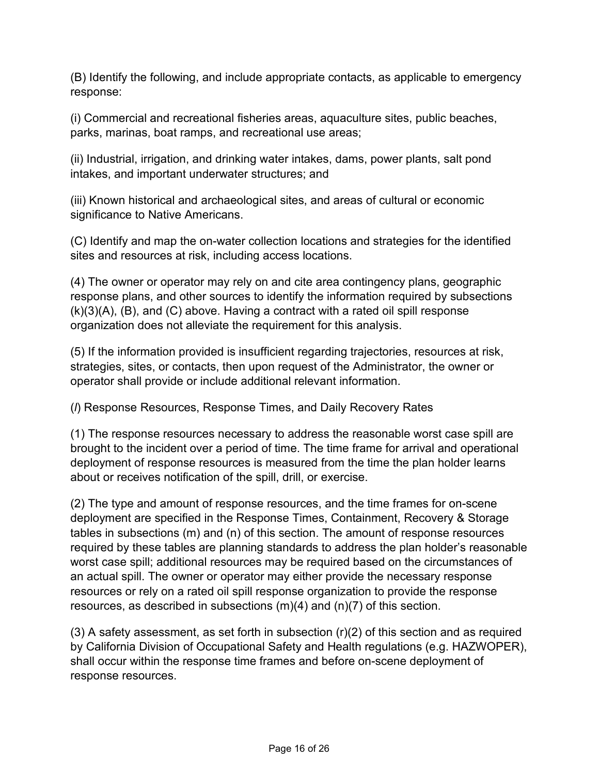(B) Identify the following, and include appropriate contacts, as applicable to emergency response:

(i) Commercial and recreational fisheries areas, aquaculture sites, public beaches, parks, marinas, boat ramps, and recreational use areas;

(ii) Industrial, irrigation, and drinking water intakes, dams, power plants, salt pond intakes, and important underwater structures; and

(iii) Known historical and archaeological sites, and areas of cultural or economic significance to Native Americans.

(C) Identify and map the on-water collection locations and strategies for the identified sites and resources at risk, including access locations.

(4) The owner or operator may rely on and cite area contingency plans, geographic response plans, and other sources to identify the information required by subsections (k)(3)(A), (B), and (C) above. Having a contract with a rated oil spill response organization does not alleviate the requirement for this analysis.

(5) If the information provided is insufficient regarding trajectories, resources at risk, strategies, sites, or contacts, then upon request of the Administrator, the owner or operator shall provide or include additional relevant information.

(*l*) Response Resources, Response Times, and Daily Recovery Rates

(1) The response resources necessary to address the reasonable worst case spill are brought to the incident over a period of time. The time frame for arrival and operational deployment of response resources is measured from the time the plan holder learns about or receives notification of the spill, drill, or exercise.

(2) The type and amount of response resources, and the time frames for on-scene deployment are specified in the Response Times, Containment, Recovery & Storage tables in subsections (m) and (n) of this section. The amount of response resources required by these tables are planning standards to address the plan holder's reasonable worst case spill; additional resources may be required based on the circumstances of an actual spill. The owner or operator may either provide the necessary response resources or rely on a rated oil spill response organization to provide the response resources, as described in subsections (m)(4) and (n)(7) of this section.

 $(3)$  A safety assessment, as set forth in subsection  $(r)(2)$  of this section and as required by California Division of Occupational Safety and Health regulations (e.g. HAZWOPER), shall occur within the response time frames and before on-scene deployment of response resources.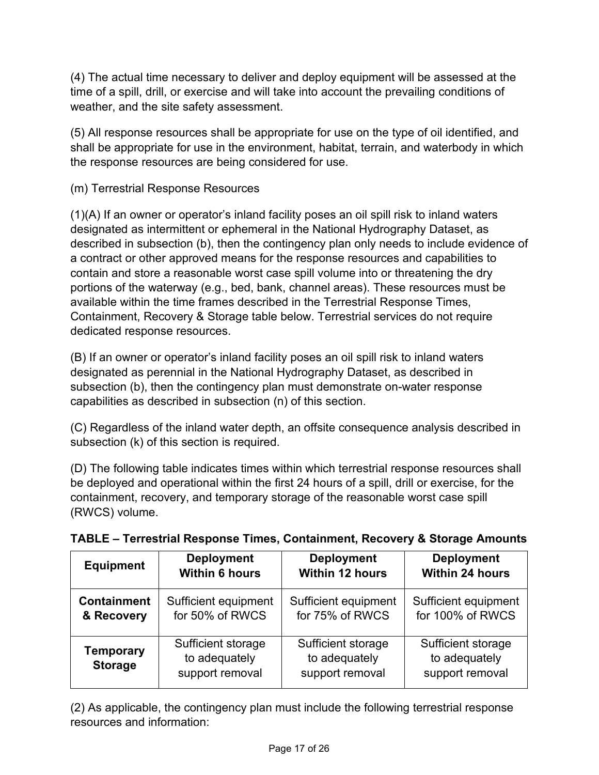(4) The actual time necessary to deliver and deploy equipment will be assessed at the time of a spill, drill, or exercise and will take into account the prevailing conditions of weather, and the site safety assessment.

(5) All response resources shall be appropriate for use on the type of oil identified, and shall be appropriate for use in the environment, habitat, terrain, and waterbody in which the response resources are being considered for use.

(m) Terrestrial Response Resources

(1)(A) If an owner or operator's inland facility poses an oil spill risk to inland waters designated as intermittent or ephemeral in the National Hydrography Dataset, as described in subsection (b), then the contingency plan only needs to include evidence of a contract or other approved means for the response resources and capabilities to contain and store a reasonable worst case spill volume into or threatening the dry portions of the waterway (e.g., bed, bank, channel areas). These resources must be available within the time frames described in the Terrestrial Response Times, Containment, Recovery & Storage table below. Terrestrial services do not require dedicated response resources.

(B) If an owner or operator's inland facility poses an oil spill risk to inland waters designated as perennial in the National Hydrography Dataset, as described in subsection (b), then the contingency plan must demonstrate on-water response capabilities as described in subsection (n) of this section.

(C) Regardless of the inland water depth, an offsite consequence analysis described in subsection (k) of this section is required.

(D) The following table indicates times within which terrestrial response resources shall be deployed and operational within the first 24 hours of a spill, drill or exercise, for the containment, recovery, and temporary storage of the reasonable worst case spill (RWCS) volume.

| <b>Equipment</b>                   | <b>Deployment</b>                                      | <b>Deployment</b>                                      | <b>Deployment</b>                                      |
|------------------------------------|--------------------------------------------------------|--------------------------------------------------------|--------------------------------------------------------|
|                                    | <b>Within 6 hours</b>                                  | <b>Within 12 hours</b>                                 | <b>Within 24 hours</b>                                 |
| <b>Containment</b>                 | Sufficient equipment                                   | Sufficient equipment                                   | Sufficient equipment                                   |
| & Recovery                         | for 50% of RWCS                                        | for 75% of RWCS                                        | for 100% of RWCS                                       |
| <b>Temporary</b><br><b>Storage</b> | Sufficient storage<br>to adequately<br>support removal | Sufficient storage<br>to adequately<br>support removal | Sufficient storage<br>to adequately<br>support removal |

# **TABLE – Terrestrial Response Times, Containment, Recovery & Storage Amounts**

(2) As applicable, the contingency plan must include the following terrestrial response resources and information: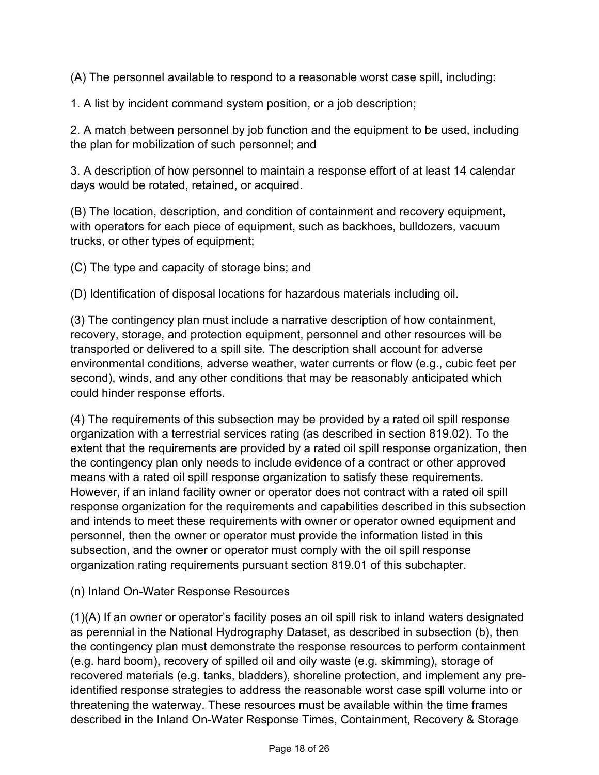(A) The personnel available to respond to a reasonable worst case spill, including:

1. A list by incident command system position, or a job description;

2. A match between personnel by job function and the equipment to be used, including the plan for mobilization of such personnel; and

3. A description of how personnel to maintain a response effort of at least 14 calendar days would be rotated, retained, or acquired.

(B) The location, description, and condition of containment and recovery equipment, with operators for each piece of equipment, such as backhoes, bulldozers, vacuum trucks, or other types of equipment;

(C) The type and capacity of storage bins; and

(D) Identification of disposal locations for hazardous materials including oil.

(3) The contingency plan must include a narrative description of how containment, recovery, storage, and protection equipment, personnel and other resources will be transported or delivered to a spill site. The description shall account for adverse environmental conditions, adverse weather, water currents or flow (e.g., cubic feet per second), winds, and any other conditions that may be reasonably anticipated which could hinder response efforts.

(4) The requirements of this subsection may be provided by a rated oil spill response organization with a terrestrial services rating (as described in section 819.02). To the extent that the requirements are provided by a rated oil spill response organization, then the contingency plan only needs to include evidence of a contract or other approved means with a rated oil spill response organization to satisfy these requirements. However, if an inland facility owner or operator does not contract with a rated oil spill response organization for the requirements and capabilities described in this subsection and intends to meet these requirements with owner or operator owned equipment and personnel, then the owner or operator must provide the information listed in this subsection, and the owner or operator must comply with the oil spill response organization rating requirements pursuant section 819.01 of this subchapter.

(n) Inland On-Water Response Resources

(1)(A) If an owner or operator's facility poses an oil spill risk to inland waters designated as perennial in the National Hydrography Dataset, as described in subsection (b), then the contingency plan must demonstrate the response resources to perform containment (e.g. hard boom), recovery of spilled oil and oily waste (e.g. skimming), storage of recovered materials (e.g. tanks, bladders), shoreline protection, and implement any preidentified response strategies to address the reasonable worst case spill volume into or threatening the waterway. These resources must be available within the time frames described in the Inland On-Water Response Times, Containment, Recovery & Storage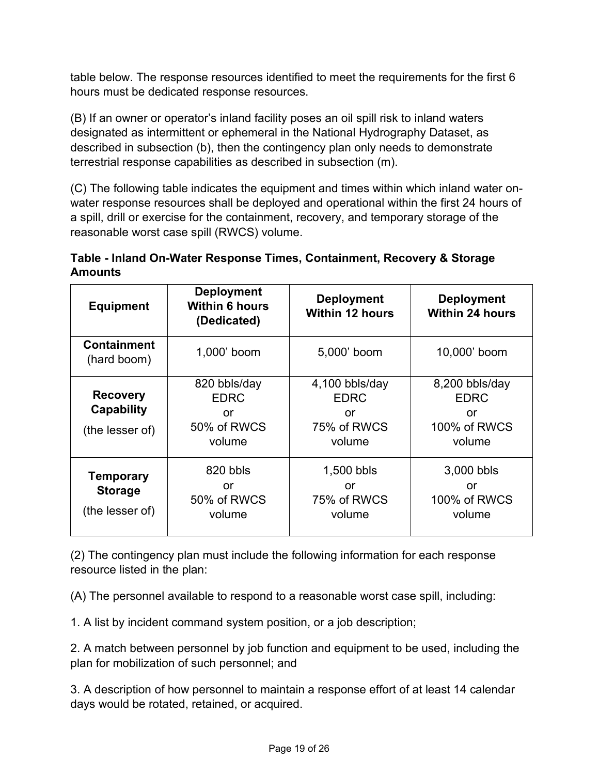table below. The response resources identified to meet the requirements for the first 6 hours must be dedicated response resources.

(B) If an owner or operator's inland facility poses an oil spill risk to inland waters designated as intermittent or ephemeral in the National Hydrography Dataset, as described in subsection (b), then the contingency plan only needs to demonstrate terrestrial response capabilities as described in subsection (m).

(C) The following table indicates the equipment and times within which inland water onwater response resources shall be deployed and operational within the first 24 hours of a spill, drill or exercise for the containment, recovery, and temporary storage of the reasonable worst case spill (RWCS) volume.

#### **Table - Inland On-Water Response Times, Containment, Recovery & Storage Amounts**

| <b>Equipment</b>                                      | <b>Deployment</b><br><b>Within 6 hours</b><br>(Dedicated)  | <b>Deployment</b><br><b>Within 12 hours</b>                    | <b>Deployment</b><br><b>Within 24 hours</b>                   |
|-------------------------------------------------------|------------------------------------------------------------|----------------------------------------------------------------|---------------------------------------------------------------|
| <b>Containment</b><br>(hard boom)                     | 1,000' boom                                                | 5,000' boom                                                    | 10,000' boom                                                  |
| <b>Recovery</b><br>Capability<br>(the lesser of)      | 820 bbls/day<br><b>EDRC</b><br>or<br>50% of RWCS<br>volume | $4,100$ bbls/day<br><b>EDRC</b><br>or<br>75% of RWCS<br>volume | 8,200 bbls/day<br><b>EDRC</b><br>or<br>100% of RWCS<br>volume |
| <b>Temporary</b><br><b>Storage</b><br>(the lesser of) | 820 bbls<br>or<br>50% of RWCS<br>volume                    | 1,500 bbls<br>or<br>75% of RWCS<br>volume                      | 3,000 bbls<br>or<br>100% of RWCS<br>volume                    |

(2) The contingency plan must include the following information for each response resource listed in the plan:

(A) The personnel available to respond to a reasonable worst case spill, including:

1. A list by incident command system position, or a job description;

2. A match between personnel by job function and equipment to be used, including the plan for mobilization of such personnel; and

3. A description of how personnel to maintain a response effort of at least 14 calendar days would be rotated, retained, or acquired.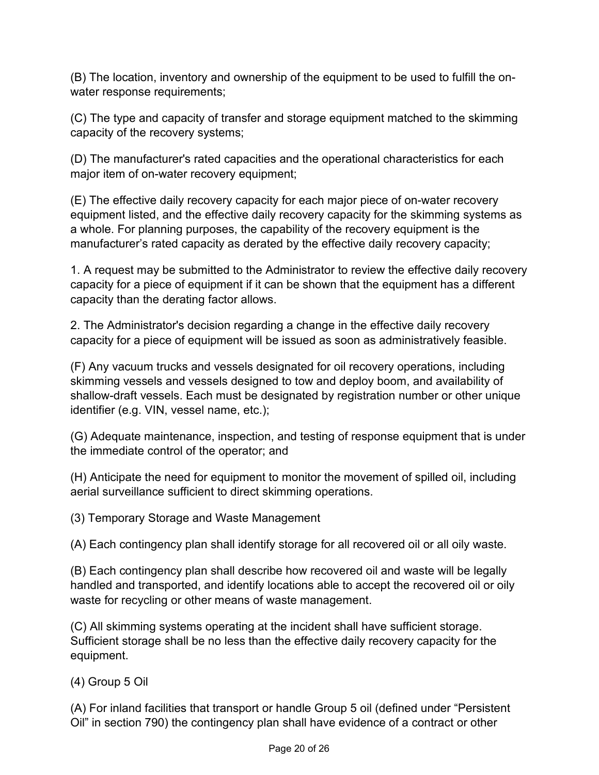(B) The location, inventory and ownership of the equipment to be used to fulfill the onwater response requirements;

(C) The type and capacity of transfer and storage equipment matched to the skimming capacity of the recovery systems;

(D) The manufacturer's rated capacities and the operational characteristics for each major item of on-water recovery equipment;

(E) The effective daily recovery capacity for each major piece of on-water recovery equipment listed, and the effective daily recovery capacity for the skimming systems as a whole. For planning purposes, the capability of the recovery equipment is the manufacturer's rated capacity as derated by the effective daily recovery capacity;

1. A request may be submitted to the Administrator to review the effective daily recovery capacity for a piece of equipment if it can be shown that the equipment has a different capacity than the derating factor allows.

2. The Administrator's decision regarding a change in the effective daily recovery capacity for a piece of equipment will be issued as soon as administratively feasible.

(F) Any vacuum trucks and vessels designated for oil recovery operations, including skimming vessels and vessels designed to tow and deploy boom, and availability of shallow-draft vessels. Each must be designated by registration number or other unique identifier (e.g. VIN, vessel name, etc.);

(G) Adequate maintenance, inspection, and testing of response equipment that is under the immediate control of the operator; and

(H) Anticipate the need for equipment to monitor the movement of spilled oil, including aerial surveillance sufficient to direct skimming operations.

(3) Temporary Storage and Waste Management

(A) Each contingency plan shall identify storage for all recovered oil or all oily waste.

(B) Each contingency plan shall describe how recovered oil and waste will be legally handled and transported, and identify locations able to accept the recovered oil or oily waste for recycling or other means of waste management.

(C) All skimming systems operating at the incident shall have sufficient storage. Sufficient storage shall be no less than the effective daily recovery capacity for the equipment.

(4) Group 5 Oil

(A) For inland facilities that transport or handle Group 5 oil (defined under "Persistent Oil" in section 790) the contingency plan shall have evidence of a contract or other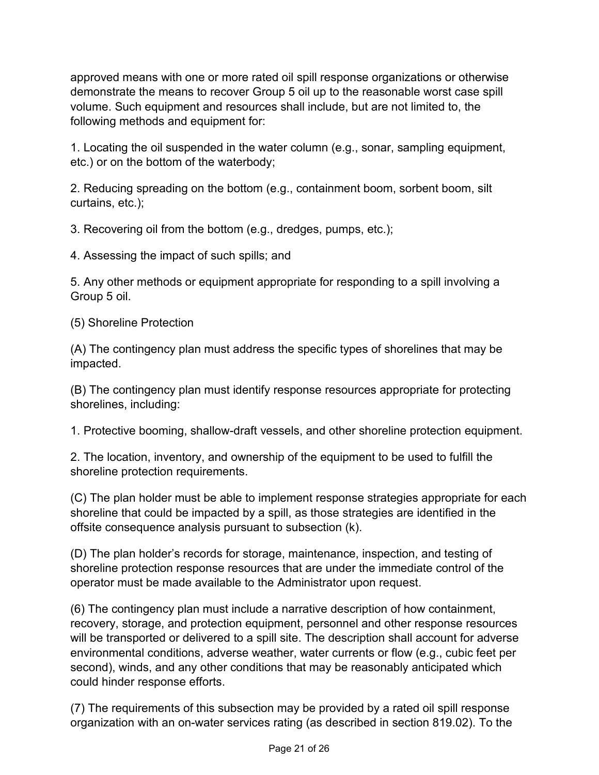approved means with one or more rated oil spill response organizations or otherwise demonstrate the means to recover Group 5 oil up to the reasonable worst case spill volume. Such equipment and resources shall include, but are not limited to, the following methods and equipment for:

1. Locating the oil suspended in the water column (e.g., sonar, sampling equipment, etc.) or on the bottom of the waterbody;

2. Reducing spreading on the bottom (e.g., containment boom, sorbent boom, silt curtains, etc.);

3. Recovering oil from the bottom (e.g., dredges, pumps, etc.);

4. Assessing the impact of such spills; and

5. Any other methods or equipment appropriate for responding to a spill involving a Group 5 oil.

(5) Shoreline Protection

(A) The contingency plan must address the specific types of shorelines that may be impacted.

(B) The contingency plan must identify response resources appropriate for protecting shorelines, including:

1. Protective booming, shallow-draft vessels, and other shoreline protection equipment.

2. The location, inventory, and ownership of the equipment to be used to fulfill the shoreline protection requirements.

(C) The plan holder must be able to implement response strategies appropriate for each shoreline that could be impacted by a spill, as those strategies are identified in the offsite consequence analysis pursuant to subsection (k).

(D) The plan holder's records for storage, maintenance, inspection, and testing of shoreline protection response resources that are under the immediate control of the operator must be made available to the Administrator upon request.

(6) The contingency plan must include a narrative description of how containment, recovery, storage, and protection equipment, personnel and other response resources will be transported or delivered to a spill site. The description shall account for adverse environmental conditions, adverse weather, water currents or flow (e.g., cubic feet per second), winds, and any other conditions that may be reasonably anticipated which could hinder response efforts.

(7) The requirements of this subsection may be provided by a rated oil spill response organization with an on-water services rating (as described in section 819.02). To the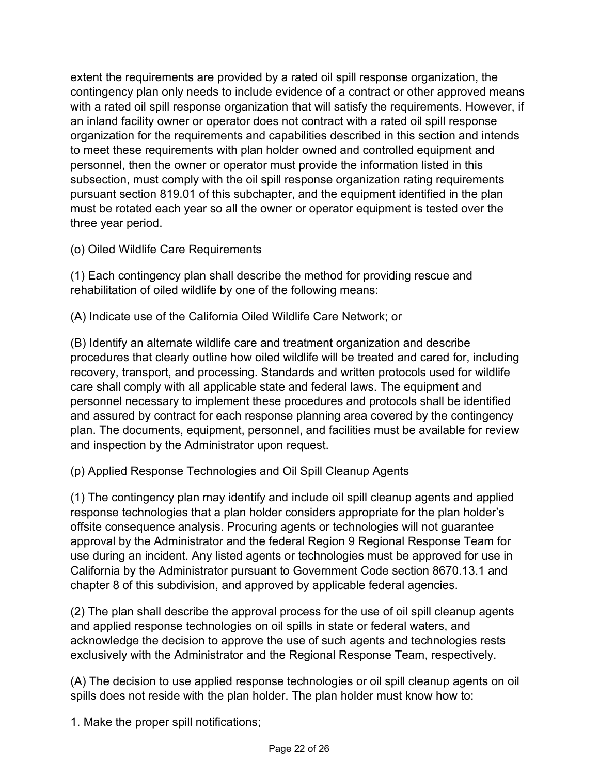extent the requirements are provided by a rated oil spill response organization, the contingency plan only needs to include evidence of a contract or other approved means with a rated oil spill response organization that will satisfy the requirements. However, if an inland facility owner or operator does not contract with a rated oil spill response organization for the requirements and capabilities described in this section and intends to meet these requirements with plan holder owned and controlled equipment and personnel, then the owner or operator must provide the information listed in this subsection, must comply with the oil spill response organization rating requirements pursuant section 819.01 of this subchapter, and the equipment identified in the plan must be rotated each year so all the owner or operator equipment is tested over the three year period.

(o) Oiled Wildlife Care Requirements

(1) Each contingency plan shall describe the method for providing rescue and rehabilitation of oiled wildlife by one of the following means:

(A) Indicate use of the California Oiled Wildlife Care Network; or

(B) Identify an alternate wildlife care and treatment organization and describe procedures that clearly outline how oiled wildlife will be treated and cared for, including recovery, transport, and processing. Standards and written protocols used for wildlife care shall comply with all applicable state and federal laws. The equipment and personnel necessary to implement these procedures and protocols shall be identified and assured by contract for each response planning area covered by the contingency plan. The documents, equipment, personnel, and facilities must be available for review and inspection by the Administrator upon request.

(p) Applied Response Technologies and Oil Spill Cleanup Agents

(1) The contingency plan may identify and include oil spill cleanup agents and applied response technologies that a plan holder considers appropriate for the plan holder's offsite consequence analysis. Procuring agents or technologies will not guarantee approval by the Administrator and the federal Region 9 Regional Response Team for use during an incident. Any listed agents or technologies must be approved for use in California by the Administrator pursuant to Government Code section 8670.13.1 and chapter 8 of this subdivision, and approved by applicable federal agencies.

(2) The plan shall describe the approval process for the use of oil spill cleanup agents and applied response technologies on oil spills in state or federal waters, and acknowledge the decision to approve the use of such agents and technologies rests exclusively with the Administrator and the Regional Response Team, respectively.

(A) The decision to use applied response technologies or oil spill cleanup agents on oil spills does not reside with the plan holder. The plan holder must know how to:

1. Make the proper spill notifications;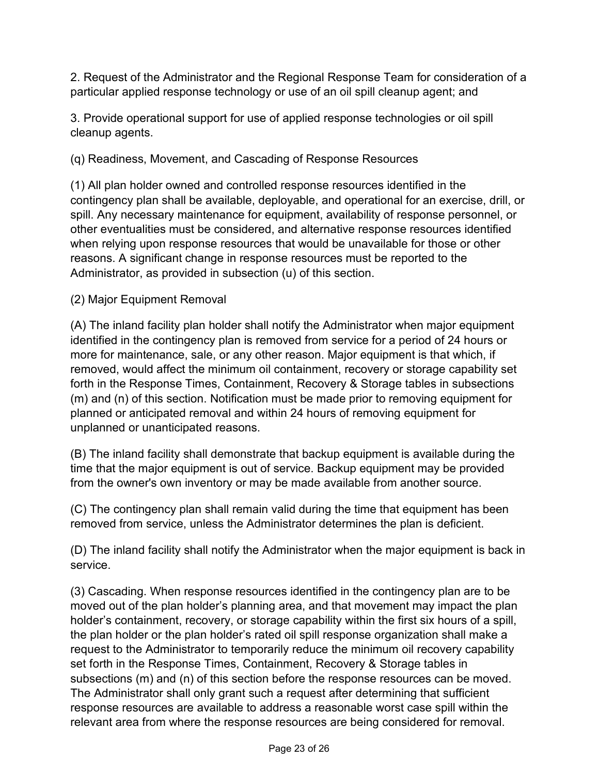2. Request of the Administrator and the Regional Response Team for consideration of a particular applied response technology or use of an oil spill cleanup agent; and

3. Provide operational support for use of applied response technologies or oil spill cleanup agents.

(q) Readiness, Movement, and Cascading of Response Resources

(1) All plan holder owned and controlled response resources identified in the contingency plan shall be available, deployable, and operational for an exercise, drill, or spill. Any necessary maintenance for equipment, availability of response personnel, or other eventualities must be considered, and alternative response resources identified when relying upon response resources that would be unavailable for those or other reasons. A significant change in response resources must be reported to the Administrator, as provided in subsection (u) of this section.

## (2) Major Equipment Removal

(A) The inland facility plan holder shall notify the Administrator when major equipment identified in the contingency plan is removed from service for a period of 24 hours or more for maintenance, sale, or any other reason. Major equipment is that which, if removed, would affect the minimum oil containment, recovery or storage capability set forth in the Response Times, Containment, Recovery & Storage tables in subsections (m) and (n) of this section. Notification must be made prior to removing equipment for planned or anticipated removal and within 24 hours of removing equipment for unplanned or unanticipated reasons.

(B) The inland facility shall demonstrate that backup equipment is available during the time that the major equipment is out of service. Backup equipment may be provided from the owner's own inventory or may be made available from another source.

(C) The contingency plan shall remain valid during the time that equipment has been removed from service, unless the Administrator determines the plan is deficient.

(D) The inland facility shall notify the Administrator when the major equipment is back in service.

(3) Cascading. When response resources identified in the contingency plan are to be moved out of the plan holder's planning area, and that movement may impact the plan holder's containment, recovery, or storage capability within the first six hours of a spill, the plan holder or the plan holder's rated oil spill response organization shall make a request to the Administrator to temporarily reduce the minimum oil recovery capability set forth in the Response Times, Containment, Recovery & Storage tables in subsections (m) and (n) of this section before the response resources can be moved. The Administrator shall only grant such a request after determining that sufficient response resources are available to address a reasonable worst case spill within the relevant area from where the response resources are being considered for removal.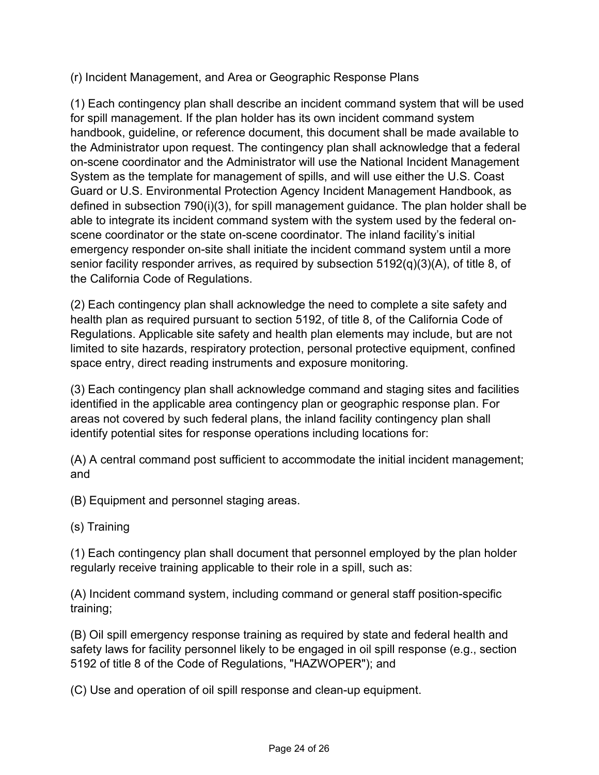(r) Incident Management, and Area or Geographic Response Plans

(1) Each contingency plan shall describe an incident command system that will be used for spill management. If the plan holder has its own incident command system handbook, guideline, or reference document, this document shall be made available to the Administrator upon request. The contingency plan shall acknowledge that a federal on-scene coordinator and the Administrator will use the National Incident Management System as the template for management of spills, and will use either the U.S. Coast Guard or U.S. Environmental Protection Agency Incident Management Handbook, as defined in subsection 790(i)(3), for spill management guidance. The plan holder shall be able to integrate its incident command system with the system used by the federal onscene coordinator or the state on-scene coordinator. The inland facility's initial emergency responder on-site shall initiate the incident command system until a more senior facility responder arrives, as required by subsection 5192(q)(3)(A), of title 8, of the California Code of Regulations.

(2) Each contingency plan shall acknowledge the need to complete a site safety and health plan as required pursuant to section 5192, of title 8, of the California Code of Regulations. Applicable site safety and health plan elements may include, but are not limited to site hazards, respiratory protection, personal protective equipment, confined space entry, direct reading instruments and exposure monitoring.

(3) Each contingency plan shall acknowledge command and staging sites and facilities identified in the applicable area contingency plan or geographic response plan. For areas not covered by such federal plans, the inland facility contingency plan shall identify potential sites for response operations including locations for:

(A) A central command post sufficient to accommodate the initial incident management; and

(B) Equipment and personnel staging areas.

(s) Training

(1) Each contingency plan shall document that personnel employed by the plan holder regularly receive training applicable to their role in a spill, such as:

(A) Incident command system, including command or general staff position-specific training;

(B) Oil spill emergency response training as required by state and federal health and safety laws for facility personnel likely to be engaged in oil spill response (e.g., section 5192 of title 8 of the Code of Regulations, "HAZWOPER"); and

(C) Use and operation of oil spill response and clean-up equipment.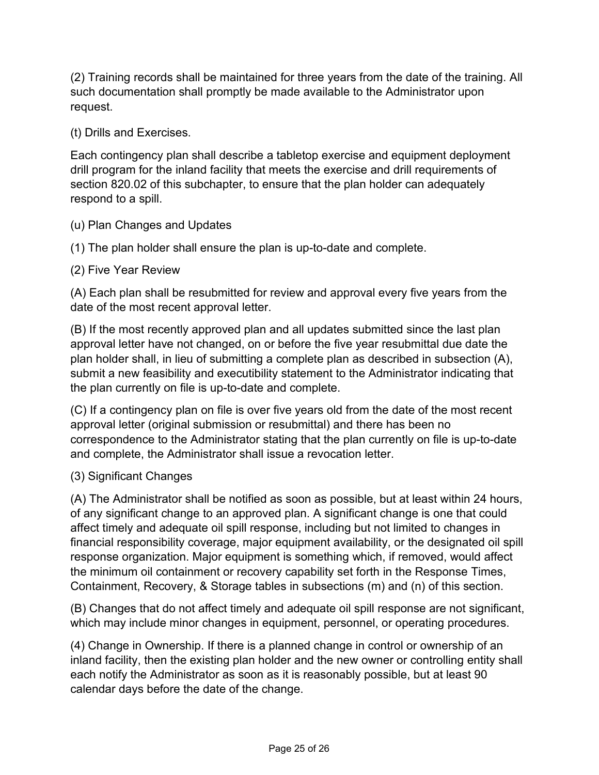(2) Training records shall be maintained for three years from the date of the training. All such documentation shall promptly be made available to the Administrator upon request.

## (t) Drills and Exercises.

Each contingency plan shall describe a tabletop exercise and equipment deployment drill program for the inland facility that meets the exercise and drill requirements of section 820.02 of this subchapter, to ensure that the plan holder can adequately respond to a spill.

#### (u) Plan Changes and Updates

(1) The plan holder shall ensure the plan is up-to-date and complete.

#### (2) Five Year Review

(A) Each plan shall be resubmitted for review and approval every five years from the date of the most recent approval letter.

(B) If the most recently approved plan and all updates submitted since the last plan approval letter have not changed, on or before the five year resubmittal due date the plan holder shall, in lieu of submitting a complete plan as described in subsection (A), submit a new feasibility and executibility statement to the Administrator indicating that the plan currently on file is up-to-date and complete.

(C) If a contingency plan on file is over five years old from the date of the most recent approval letter (original submission or resubmittal) and there has been no correspondence to the Administrator stating that the plan currently on file is up-to-date and complete, the Administrator shall issue a revocation letter.

#### (3) Significant Changes

(A) The Administrator shall be notified as soon as possible, but at least within 24 hours, of any significant change to an approved plan. A significant change is one that could affect timely and adequate oil spill response, including but not limited to changes in financial responsibility coverage, major equipment availability, or the designated oil spill response organization. Major equipment is something which, if removed, would affect the minimum oil containment or recovery capability set forth in the Response Times, Containment, Recovery, & Storage tables in subsections (m) and (n) of this section.

(B) Changes that do not affect timely and adequate oil spill response are not significant, which may include minor changes in equipment, personnel, or operating procedures.

(4) Change in Ownership. If there is a planned change in control or ownership of an inland facility, then the existing plan holder and the new owner or controlling entity shall each notify the Administrator as soon as it is reasonably possible, but at least 90 calendar days before the date of the change.